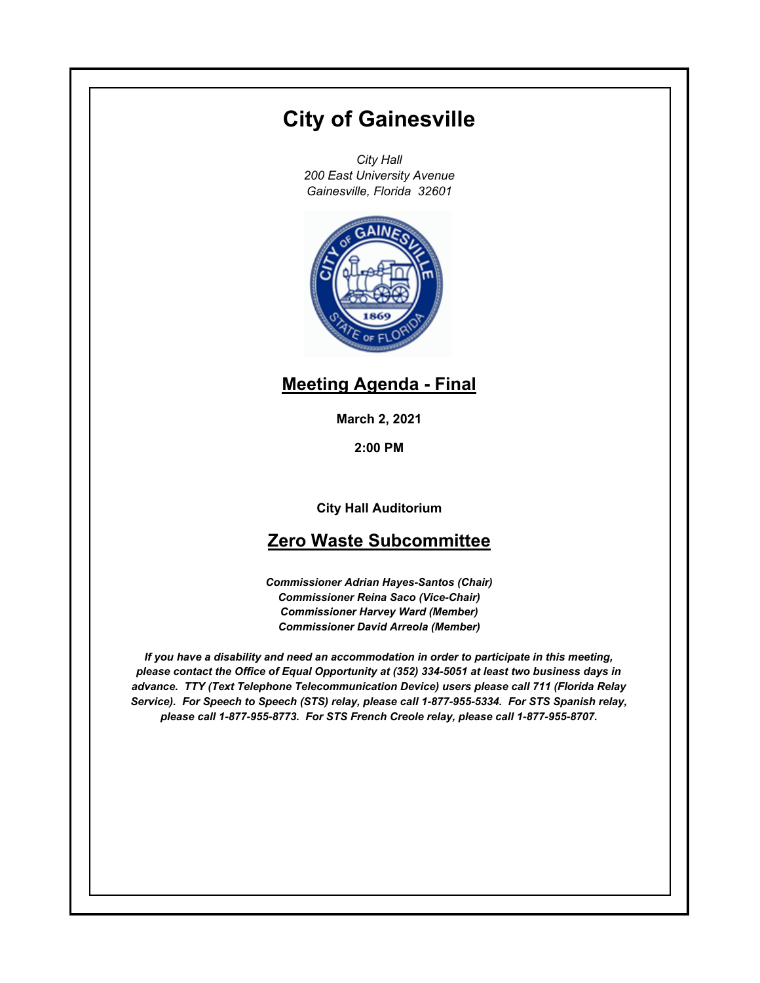# **City of Gainesville**

*City Hall 200 East University Avenue Gainesville, Florida 32601*



## **Meeting Agenda - Final**

**March 2, 2021**

**2:00 PM**

**City Hall Auditorium**

## **Zero Waste Subcommittee**

*Commissioner Adrian Hayes-Santos (Chair) Commissioner Reina Saco (Vice-Chair) Commissioner Harvey Ward (Member) Commissioner David Arreola (Member)*

*If you have a disability and need an accommodation in order to participate in this meeting, please contact the Office of Equal Opportunity at (352) 334-5051 at least two business days in advance. TTY (Text Telephone Telecommunication Device) users please call 711 (Florida Relay Service). For Speech to Speech (STS) relay, please call 1-877-955-5334. For STS Spanish relay, please call 1-877-955-8773. For STS French Creole relay, please call 1-877-955-8707.*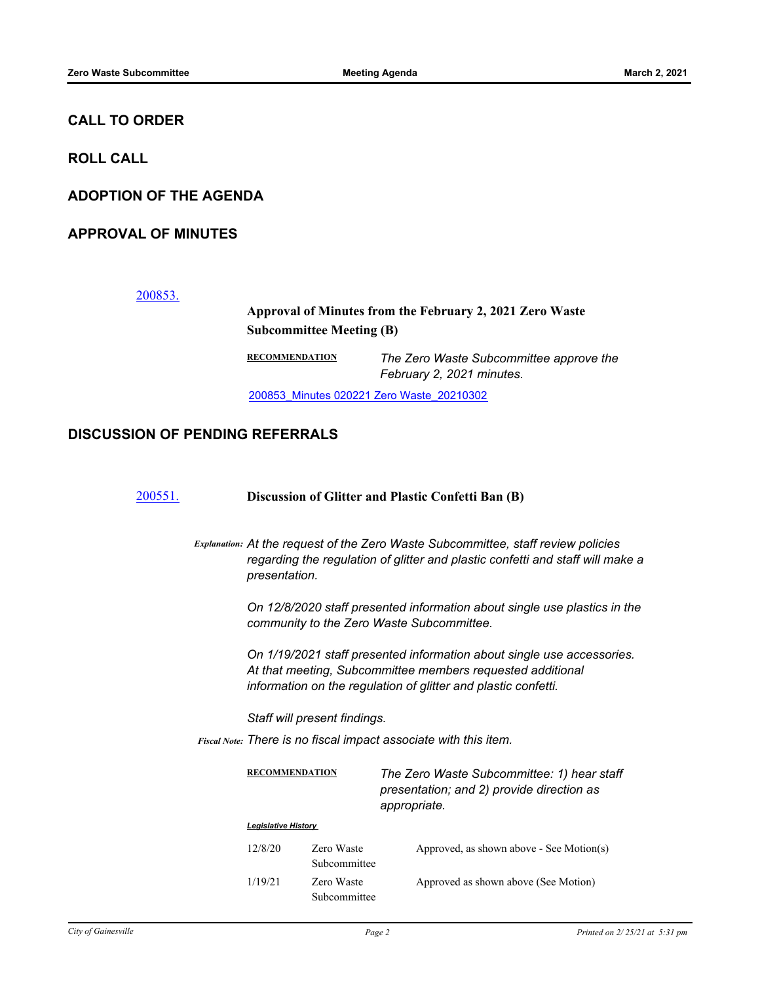## **CALL TO ORDER**

**ROLL CALL**

**ADOPTION OF THE AGENDA**

**APPROVAL OF MINUTES**

[200853.](http://gainesville.legistar.com/gateway.aspx?m=l&id=/matter.aspx?key=32396)

## **Approval of Minutes from the February 2, 2021 Zero Waste Subcommittee Meeting (B)**

**RECOMMENDATION** *The Zero Waste Subcommittee approve the February 2, 2021 minutes.*

[200853\\_Minutes 020221 Zero Waste\\_20210302](http://Gainesville.legistar.com/gateway.aspx?M=F&ID=c4cd86cb-a2b5-4ce5-9d72-fbd6b45b39f8.pdf)

#### **DISCUSSION OF PENDING REFERRALS**

| 200551. | Discussion of Glitter and Plastic Confetti Ban (B)                                                                                                                                                                                                                                                         |                                                                                                                                                                                                                                                                                                                |                                                                                                         |  |
|---------|------------------------------------------------------------------------------------------------------------------------------------------------------------------------------------------------------------------------------------------------------------------------------------------------------------|----------------------------------------------------------------------------------------------------------------------------------------------------------------------------------------------------------------------------------------------------------------------------------------------------------------|---------------------------------------------------------------------------------------------------------|--|
|         |                                                                                                                                                                                                                                                                                                            | Explanation: At the request of the Zero Waste Subcommittee, staff review policies<br>regarding the regulation of glitter and plastic confetti and staff will make a<br>presentation.<br>On 12/8/2020 staff presented information about single use plastics in the<br>community to the Zero Waste Subcommittee. |                                                                                                         |  |
|         |                                                                                                                                                                                                                                                                                                            |                                                                                                                                                                                                                                                                                                                |                                                                                                         |  |
|         | On 1/19/2021 staff presented information about single use accessories.<br>At that meeting, Subcommittee members requested additional<br>information on the regulation of glitter and plastic confetti.<br>Staff will present findings.<br>Fiscal Note: There is no fiscal impact associate with this item. |                                                                                                                                                                                                                                                                                                                |                                                                                                         |  |
|         |                                                                                                                                                                                                                                                                                                            |                                                                                                                                                                                                                                                                                                                |                                                                                                         |  |
|         |                                                                                                                                                                                                                                                                                                            |                                                                                                                                                                                                                                                                                                                |                                                                                                         |  |
|         | <b>RECOMMENDATION</b>                                                                                                                                                                                                                                                                                      |                                                                                                                                                                                                                                                                                                                | The Zero Waste Subcommittee: 1) hear staff<br>presentation; and 2) provide direction as<br>appropriate. |  |
|         | <b>Legislative History</b>                                                                                                                                                                                                                                                                                 |                                                                                                                                                                                                                                                                                                                |                                                                                                         |  |
|         | 12/8/20                                                                                                                                                                                                                                                                                                    | Zero Waste<br>Subcommittee                                                                                                                                                                                                                                                                                     | Approved, as shown above - See Motion(s)                                                                |  |
|         | 1/19/21                                                                                                                                                                                                                                                                                                    | Zero Waste<br>Subcommittee                                                                                                                                                                                                                                                                                     | Approved as shown above (See Motion)                                                                    |  |